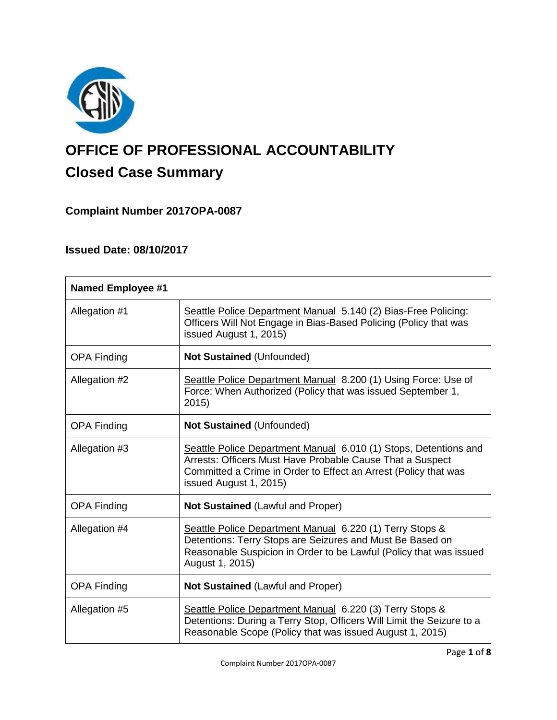

# **OFFICE OF PROFESSIONAL ACCOUNTABILITY Closed Case Summary**

# **Complaint Number 2017OPA-0087**

# **Issued Date: 08/10/2017**

| <b>Named Employee #1</b> |                                                                                                                                                                                                                            |
|--------------------------|----------------------------------------------------------------------------------------------------------------------------------------------------------------------------------------------------------------------------|
| Allegation #1            | Seattle Police Department Manual 5.140 (2) Bias-Free Policing:<br>Officers Will Not Engage in Bias-Based Policing (Policy that was<br>issued August 1, 2015)                                                               |
| <b>OPA Finding</b>       | <b>Not Sustained (Unfounded)</b>                                                                                                                                                                                           |
| Allegation #2            | Seattle Police Department Manual 8.200 (1) Using Force: Use of<br>Force: When Authorized (Policy that was issued September 1,<br>2015)                                                                                     |
| <b>OPA Finding</b>       | <b>Not Sustained (Unfounded)</b>                                                                                                                                                                                           |
| Allegation #3            | Seattle Police Department Manual 6.010 (1) Stops, Detentions and<br>Arrests: Officers Must Have Probable Cause That a Suspect<br>Committed a Crime in Order to Effect an Arrest (Policy that was<br>issued August 1, 2015) |
| <b>OPA Finding</b>       | Not Sustained (Lawful and Proper)                                                                                                                                                                                          |
| Allegation #4            | Seattle Police Department Manual 6.220 (1) Terry Stops &<br>Detentions: Terry Stops are Seizures and Must Be Based on<br>Reasonable Suspicion in Order to be Lawful (Policy that was issued<br>August 1, 2015)             |
| <b>OPA Finding</b>       | Not Sustained (Lawful and Proper)                                                                                                                                                                                          |
| Allegation #5            | Seattle Police Department Manual 6.220 (3) Terry Stops &<br>Detentions: During a Terry Stop, Officers Will Limit the Seizure to a<br>Reasonable Scope (Policy that was issued August 1, 2015)                              |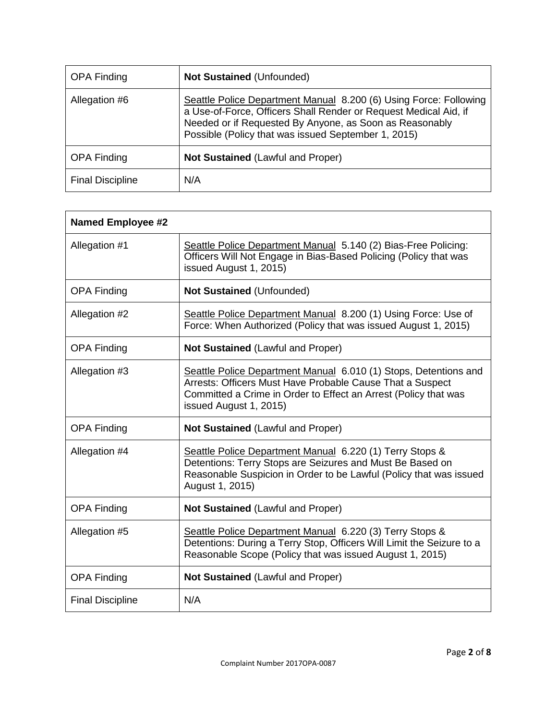| <b>OPA Finding</b>      | <b>Not Sustained (Unfounded)</b>                                                                                                                                                                                                                        |
|-------------------------|---------------------------------------------------------------------------------------------------------------------------------------------------------------------------------------------------------------------------------------------------------|
| Allegation #6           | Seattle Police Department Manual 8.200 (6) Using Force: Following<br>a Use-of-Force, Officers Shall Render or Request Medical Aid, if<br>Needed or if Requested By Anyone, as Soon as Reasonably<br>Possible (Policy that was issued September 1, 2015) |
| <b>OPA Finding</b>      | Not Sustained (Lawful and Proper)                                                                                                                                                                                                                       |
| <b>Final Discipline</b> | N/A                                                                                                                                                                                                                                                     |

| <b>Named Employee #2</b> |                                                                                                                                                                                                                            |  |
|--------------------------|----------------------------------------------------------------------------------------------------------------------------------------------------------------------------------------------------------------------------|--|
| Allegation #1            | Seattle Police Department Manual 5.140 (2) Bias-Free Policing:<br>Officers Will Not Engage in Bias-Based Policing (Policy that was<br>issued August 1, 2015)                                                               |  |
| <b>OPA Finding</b>       | Not Sustained (Unfounded)                                                                                                                                                                                                  |  |
| Allegation #2            | Seattle Police Department Manual 8.200 (1) Using Force: Use of<br>Force: When Authorized (Policy that was issued August 1, 2015)                                                                                           |  |
| <b>OPA Finding</b>       | <b>Not Sustained (Lawful and Proper)</b>                                                                                                                                                                                   |  |
| Allegation #3            | Seattle Police Department Manual 6.010 (1) Stops, Detentions and<br>Arrests: Officers Must Have Probable Cause That a Suspect<br>Committed a Crime in Order to Effect an Arrest (Policy that was<br>issued August 1, 2015) |  |
| <b>OPA Finding</b>       | <b>Not Sustained (Lawful and Proper)</b>                                                                                                                                                                                   |  |
| Allegation #4            | Seattle Police Department Manual 6.220 (1) Terry Stops &<br>Detentions: Terry Stops are Seizures and Must Be Based on<br>Reasonable Suspicion in Order to be Lawful (Policy that was issued<br>August 1, 2015)             |  |
| <b>OPA Finding</b>       | <b>Not Sustained (Lawful and Proper)</b>                                                                                                                                                                                   |  |
| Allegation #5            | Seattle Police Department Manual 6.220 (3) Terry Stops &<br>Detentions: During a Terry Stop, Officers Will Limit the Seizure to a<br>Reasonable Scope (Policy that was issued August 1, 2015)                              |  |
| <b>OPA Finding</b>       | Not Sustained (Lawful and Proper)                                                                                                                                                                                          |  |
| <b>Final Discipline</b>  | N/A                                                                                                                                                                                                                        |  |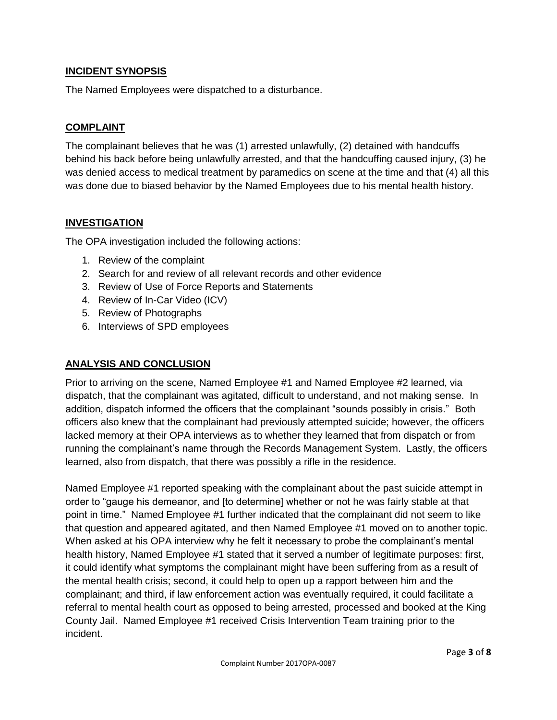# **INCIDENT SYNOPSIS**

The Named Employees were dispatched to a disturbance.

# **COMPLAINT**

The complainant believes that he was (1) arrested unlawfully, (2) detained with handcuffs behind his back before being unlawfully arrested, and that the handcuffing caused injury, (3) he was denied access to medical treatment by paramedics on scene at the time and that (4) all this was done due to biased behavior by the Named Employees due to his mental health history.

# **INVESTIGATION**

The OPA investigation included the following actions:

- 1. Review of the complaint
- 2. Search for and review of all relevant records and other evidence
- 3. Review of Use of Force Reports and Statements
- 4. Review of In-Car Video (ICV)
- 5. Review of Photographs
- 6. Interviews of SPD employees

# **ANALYSIS AND CONCLUSION**

Prior to arriving on the scene, Named Employee #1 and Named Employee #2 learned, via dispatch, that the complainant was agitated, difficult to understand, and not making sense. In addition, dispatch informed the officers that the complainant "sounds possibly in crisis." Both officers also knew that the complainant had previously attempted suicide; however, the officers lacked memory at their OPA interviews as to whether they learned that from dispatch or from running the complainant's name through the Records Management System. Lastly, the officers learned, also from dispatch, that there was possibly a rifle in the residence.

Named Employee #1 reported speaking with the complainant about the past suicide attempt in order to "gauge his demeanor, and [to determine] whether or not he was fairly stable at that point in time." Named Employee #1 further indicated that the complainant did not seem to like that question and appeared agitated, and then Named Employee #1 moved on to another topic. When asked at his OPA interview why he felt it necessary to probe the complainant's mental health history, Named Employee #1 stated that it served a number of legitimate purposes: first, it could identify what symptoms the complainant might have been suffering from as a result of the mental health crisis; second, it could help to open up a rapport between him and the complainant; and third, if law enforcement action was eventually required, it could facilitate a referral to mental health court as opposed to being arrested, processed and booked at the King County Jail. Named Employee #1 received Crisis Intervention Team training prior to the incident.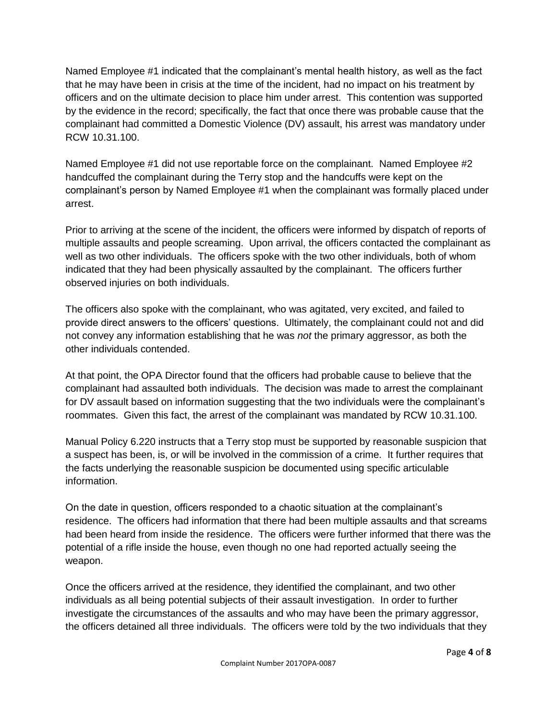Named Employee #1 indicated that the complainant's mental health history, as well as the fact that he may have been in crisis at the time of the incident, had no impact on his treatment by officers and on the ultimate decision to place him under arrest. This contention was supported by the evidence in the record; specifically, the fact that once there was probable cause that the complainant had committed a Domestic Violence (DV) assault, his arrest was mandatory under RCW 10.31.100.

Named Employee #1 did not use reportable force on the complainant. Named Employee #2 handcuffed the complainant during the Terry stop and the handcuffs were kept on the complainant's person by Named Employee #1 when the complainant was formally placed under arrest.

Prior to arriving at the scene of the incident, the officers were informed by dispatch of reports of multiple assaults and people screaming. Upon arrival, the officers contacted the complainant as well as two other individuals. The officers spoke with the two other individuals, both of whom indicated that they had been physically assaulted by the complainant. The officers further observed injuries on both individuals.

The officers also spoke with the complainant, who was agitated, very excited, and failed to provide direct answers to the officers' questions. Ultimately, the complainant could not and did not convey any information establishing that he was *not* the primary aggressor, as both the other individuals contended.

At that point, the OPA Director found that the officers had probable cause to believe that the complainant had assaulted both individuals. The decision was made to arrest the complainant for DV assault based on information suggesting that the two individuals were the complainant's roommates. Given this fact, the arrest of the complainant was mandated by RCW 10.31.100.

Manual Policy 6.220 instructs that a Terry stop must be supported by reasonable suspicion that a suspect has been, is, or will be involved in the commission of a crime. It further requires that the facts underlying the reasonable suspicion be documented using specific articulable information.

On the date in question, officers responded to a chaotic situation at the complainant's residence. The officers had information that there had been multiple assaults and that screams had been heard from inside the residence. The officers were further informed that there was the potential of a rifle inside the house, even though no one had reported actually seeing the weapon.

Once the officers arrived at the residence, they identified the complainant, and two other individuals as all being potential subjects of their assault investigation. In order to further investigate the circumstances of the assaults and who may have been the primary aggressor, the officers detained all three individuals. The officers were told by the two individuals that they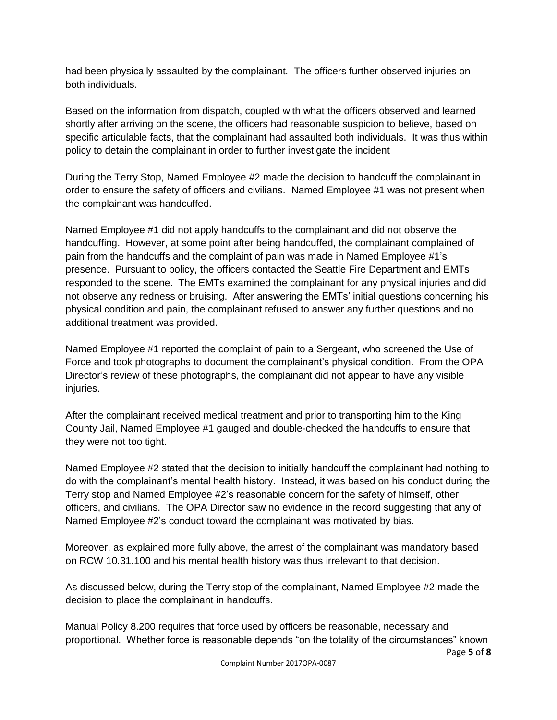had been physically assaulted by the complainant*.* The officers further observed injuries on both individuals.

Based on the information from dispatch, coupled with what the officers observed and learned shortly after arriving on the scene, the officers had reasonable suspicion to believe, based on specific articulable facts, that the complainant had assaulted both individuals. It was thus within policy to detain the complainant in order to further investigate the incident

During the Terry Stop, Named Employee #2 made the decision to handcuff the complainant in order to ensure the safety of officers and civilians. Named Employee #1 was not present when the complainant was handcuffed.

Named Employee #1 did not apply handcuffs to the complainant and did not observe the handcuffing. However, at some point after being handcuffed, the complainant complained of pain from the handcuffs and the complaint of pain was made in Named Employee #1's presence. Pursuant to policy, the officers contacted the Seattle Fire Department and EMTs responded to the scene. The EMTs examined the complainant for any physical injuries and did not observe any redness or bruising. After answering the EMTs' initial questions concerning his physical condition and pain, the complainant refused to answer any further questions and no additional treatment was provided.

Named Employee #1 reported the complaint of pain to a Sergeant, who screened the Use of Force and took photographs to document the complainant's physical condition. From the OPA Director's review of these photographs, the complainant did not appear to have any visible injuries.

After the complainant received medical treatment and prior to transporting him to the King County Jail, Named Employee #1 gauged and double-checked the handcuffs to ensure that they were not too tight.

Named Employee #2 stated that the decision to initially handcuff the complainant had nothing to do with the complainant's mental health history. Instead, it was based on his conduct during the Terry stop and Named Employee #2's reasonable concern for the safety of himself, other officers, and civilians. The OPA Director saw no evidence in the record suggesting that any of Named Employee #2's conduct toward the complainant was motivated by bias.

Moreover, as explained more fully above, the arrest of the complainant was mandatory based on RCW 10.31.100 and his mental health history was thus irrelevant to that decision.

As discussed below, during the Terry stop of the complainant, Named Employee #2 made the decision to place the complainant in handcuffs.

Page **5** of **8** Manual Policy 8.200 requires that force used by officers be reasonable, necessary and proportional. Whether force is reasonable depends "on the totality of the circumstances" known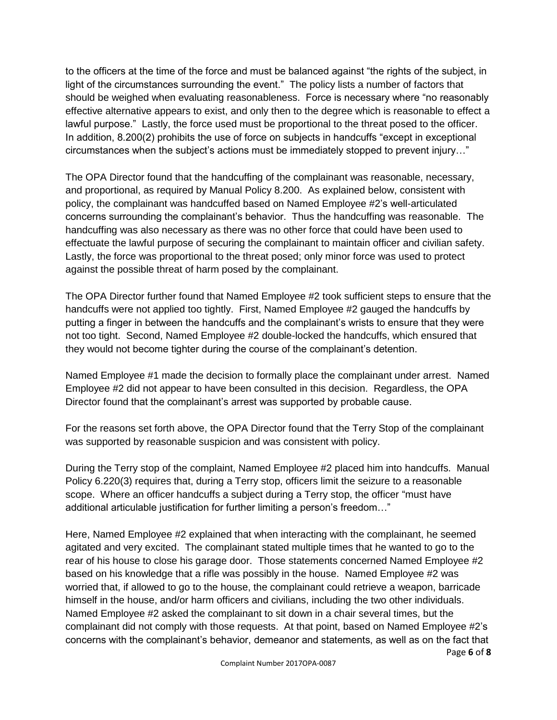to the officers at the time of the force and must be balanced against "the rights of the subject, in light of the circumstances surrounding the event." The policy lists a number of factors that should be weighed when evaluating reasonableness. Force is necessary where "no reasonably effective alternative appears to exist, and only then to the degree which is reasonable to effect a lawful purpose." Lastly, the force used must be proportional to the threat posed to the officer. In addition, 8.200(2) prohibits the use of force on subjects in handcuffs "except in exceptional circumstances when the subject's actions must be immediately stopped to prevent injury…"

The OPA Director found that the handcuffing of the complainant was reasonable, necessary, and proportional, as required by Manual Policy 8.200. As explained below, consistent with policy, the complainant was handcuffed based on Named Employee #2's well-articulated concerns surrounding the complainant's behavior. Thus the handcuffing was reasonable. The handcuffing was also necessary as there was no other force that could have been used to effectuate the lawful purpose of securing the complainant to maintain officer and civilian safety. Lastly, the force was proportional to the threat posed; only minor force was used to protect against the possible threat of harm posed by the complainant.

The OPA Director further found that Named Employee #2 took sufficient steps to ensure that the handcuffs were not applied too tightly. First, Named Employee #2 gauged the handcuffs by putting a finger in between the handcuffs and the complainant's wrists to ensure that they were not too tight. Second, Named Employee #2 double-locked the handcuffs, which ensured that they would not become tighter during the course of the complainant's detention.

Named Employee #1 made the decision to formally place the complainant under arrest. Named Employee #2 did not appear to have been consulted in this decision. Regardless, the OPA Director found that the complainant's arrest was supported by probable cause.

For the reasons set forth above, the OPA Director found that the Terry Stop of the complainant was supported by reasonable suspicion and was consistent with policy.

During the Terry stop of the complaint, Named Employee #2 placed him into handcuffs. Manual Policy 6.220(3) requires that, during a Terry stop, officers limit the seizure to a reasonable scope. Where an officer handcuffs a subject during a Terry stop, the officer "must have additional articulable justification for further limiting a person's freedom…"

Page **6** of **8** Here, Named Employee #2 explained that when interacting with the complainant, he seemed agitated and very excited. The complainant stated multiple times that he wanted to go to the rear of his house to close his garage door. Those statements concerned Named Employee #2 based on his knowledge that a rifle was possibly in the house. Named Employee #2 was worried that, if allowed to go to the house, the complainant could retrieve a weapon, barricade himself in the house, and/or harm officers and civilians, including the two other individuals. Named Employee #2 asked the complainant to sit down in a chair several times, but the complainant did not comply with those requests. At that point, based on Named Employee #2's concerns with the complainant's behavior, demeanor and statements, as well as on the fact that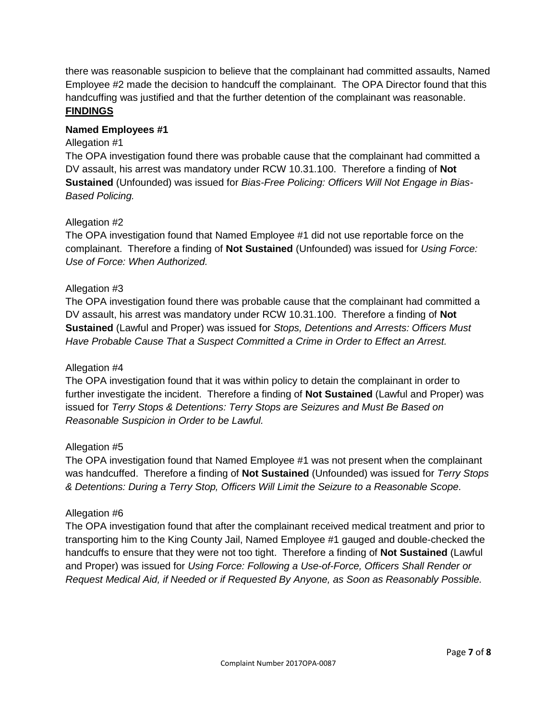there was reasonable suspicion to believe that the complainant had committed assaults, Named Employee #2 made the decision to handcuff the complainant. The OPA Director found that this handcuffing was justified and that the further detention of the complainant was reasonable. **FINDINGS**

#### **Named Employees #1**

#### Allegation #1

The OPA investigation found there was probable cause that the complainant had committed a DV assault, his arrest was mandatory under RCW 10.31.100. Therefore a finding of **Not Sustained** (Unfounded) was issued for *Bias-Free Policing: Officers Will Not Engage in Bias-Based Policing.*

#### Allegation #2

The OPA investigation found that Named Employee #1 did not use reportable force on the complainant. Therefore a finding of **Not Sustained** (Unfounded) was issued for *Using Force: Use of Force: When Authorized.*

#### Allegation #3

The OPA investigation found there was probable cause that the complainant had committed a DV assault, his arrest was mandatory under RCW 10.31.100. Therefore a finding of **Not Sustained** (Lawful and Proper) was issued for *Stops, Detentions and Arrests: Officers Must Have Probable Cause That a Suspect Committed a Crime in Order to Effect an Arrest.*

#### Allegation #4

The OPA investigation found that it was within policy to detain the complainant in order to further investigate the incident. Therefore a finding of **Not Sustained** (Lawful and Proper) was issued for *Terry Stops & Detentions: Terry Stops are Seizures and Must Be Based on Reasonable Suspicion in Order to be Lawful.*

#### Allegation #5

The OPA investigation found that Named Employee #1 was not present when the complainant was handcuffed. Therefore a finding of **Not Sustained** (Unfounded) was issued for *Terry Stops & Detentions: During a Terry Stop, Officers Will Limit the Seizure to a Reasonable Scope.*

#### Allegation #6

The OPA investigation found that after the complainant received medical treatment and prior to transporting him to the King County Jail, Named Employee #1 gauged and double-checked the handcuffs to ensure that they were not too tight. Therefore a finding of **Not Sustained** (Lawful and Proper) was issued for *Using Force: Following a Use-of-Force, Officers Shall Render or Request Medical Aid, if Needed or if Requested By Anyone, as Soon as Reasonably Possible.*